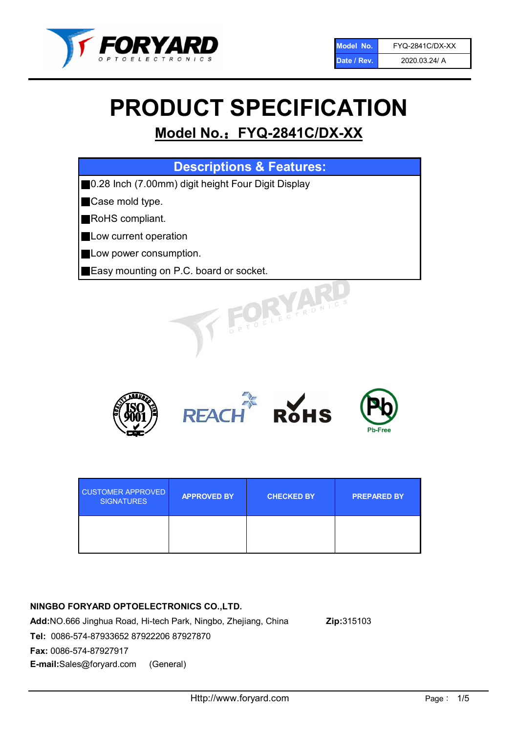

# PRODUCT SPECIFICATION

# Model No.: FYQ-2841C/DX-XX

| <b>Descriptions &amp; Features:</b>                 |
|-----------------------------------------------------|
| ■0.28 Inch (7.00mm) digit height Four Digit Display |
| Case mold type.                                     |
| RoHS compliant.                                     |
| Low current operation                               |
| Low power consumption.                              |
| Easy mounting on P.C. board or socket.              |
| TOELEGTRONIC.                                       |



| <b>CUSTOMER APPROVED</b><br><b>SIGNATURES</b> | <b>APPROVED BY</b> | <b>CHECKED BY</b> | <b>PREPARED BY</b> |
|-----------------------------------------------|--------------------|-------------------|--------------------|
|                                               |                    |                   |                    |

## NINGBO FORYARD OPTOELECTRONICS CO.,LTD.

Add:NO.666 Jinghua Road, Hi-tech Park, Ningbo, Zhejiang, China Zip:315103 Tel: 0086-574-87933652 87922206 87927870 Fax: 0086-574-87927917 E-mail:Sales@foryard.com (General)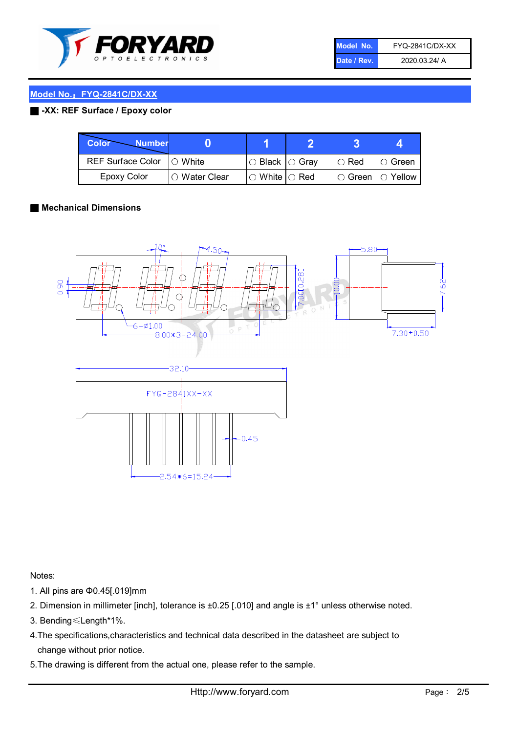

| Model No.   | <b>FYQ-2841C/DX-XX</b> |
|-------------|------------------------|
| Date / Rev. | 2020.03.24/ A          |

# Model No.: FYQ-2841C/DX-XX

#### ■ -XX: REF Surface / Epoxy color

| Color<br><b>Number</b>      |                |                                                   |             |                |
|-----------------------------|----------------|---------------------------------------------------|-------------|----------------|
| REF Surface Color   O White |                | ○ Black  ○ Gray                                   | $\circ$ Red | $\circ$ Green  |
| Epoxy Color                 | I⊖ Water Clear | $\mathbin{\varcap}$ White $\mathbin{\varcap}$ Red | IO Green∶   | $\circ$ Yellow |

#### ■ Mechanical Dimensions



Notes:

- 1. All pins are Φ0.45[.019]mm
- 2. Dimension in millimeter [inch], tolerance is ±0.25 [.010] and angle is ±1° unless otherwise noted.
- 3. Bending≤Length\*1%.
- 4.The specifications,characteristics and technical data described in the datasheet are subject to change without prior notice.
- 5.The drawing is different from the actual one, please refer to the sample.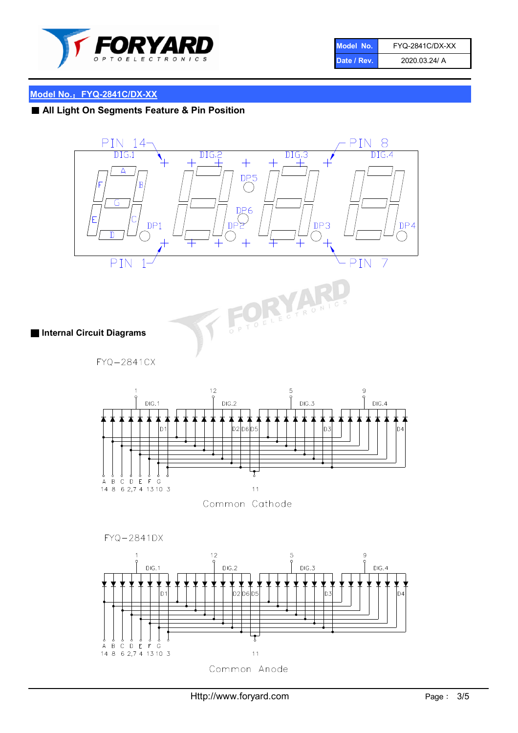

| Model No.   | <b>FYQ-2841C/DX-XX</b> |
|-------------|------------------------|
| Date / Rev. | 2020.03.24/ A          |

# Model No.: FYQ-2841C/DX-XX

# ■ All Light On Segments Feature & Pin Position



■ Internal Circuit Diagrams

FYQ-2841CX



Common Cathode

FYQ-2841DX

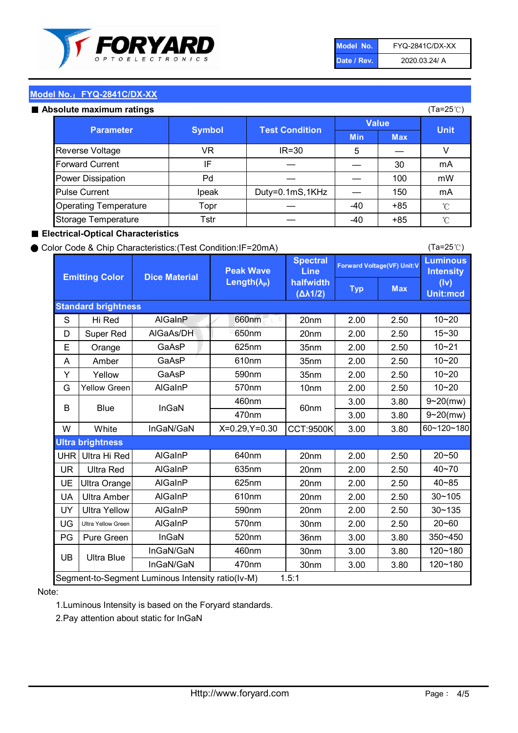

| Model No.   | <b>FYQ-2841C/DX-XX</b> |
|-------------|------------------------|
| Date / Rev. | 2020.03.24/ A          |

(Ta=25℃)

### Model No.: FYQ-2841C/DX-XX

#### Absolute maximum

| solute maximum ratings       |               |                       |              |            | (Ta=25℃)    |
|------------------------------|---------------|-----------------------|--------------|------------|-------------|
| <b>Parameter</b>             | <b>Symbol</b> |                       | <b>Value</b> |            |             |
|                              |               | <b>Test Condition</b> | <b>Min</b>   | <b>Max</b> | <b>Unit</b> |
| Reverse Voltage              | VR            | $IR = 30$             | 5            |            |             |
| <b>Forward Current</b>       | IF            |                       |              | 30         | mA          |
| Power Dissipation            | Pd            |                       |              | 100        | mW          |
| <b>Pulse Current</b>         | Ipeak         | Duty=0.1mS,1KHz       |              | 150        | mA          |
| <b>Operating Temperature</b> | Topr          |                       | $-40$        | $+85$      | °C          |
| Storage Temperature          | Tstr          |                       | -40          | $+85$      | °C          |

#### ■ Electrical-Optical Characteristics

#### ● Color Code & Chip Characteristics:(Test Condition:IF=20mA)

Typ Max S | Hi $\textsf{Red}$  | AlGaInP | 660nm LE 20nm | 2.00 | 2.50 D | Super Red | AIGaAs/DH | 650nm | 20nm | 2.00 | 2.50 E | Orange | GaAsP | 625nm | 35nm | 2.00 | 2.50 A | Amber | GaAsP | 610nm | 35nm | 2.00 | 2.50 Y | Yellow | GaAsP | 590nm | 35nm | 2.00 | 2.50 G Yellow Green AIGaInP | 570nm | 10nm | 2.00 | 2.50 3.00 3.80 3.00 3.80 W | White | InGaN/GaN | X=0.29,Y=0.30 |CCT:9500K| 3.00 | 3.80 UHR Ultra Hi Red  $\vert$  AIGaInP  $\vert$  640nm  $\vert$  20nm  $\vert$  2.00  $\vert$  2.50 UR | Ultra Red | AlGaInP | 635nm | 20nm | 2.00 | 2.50 UE Ultra Orange | AIGaInP | 625nm | 20nm | 2.00 | 2.50 UA Ultra Amber | AIGaInP | 610nm | 20nm | 2.00 | 2.50  $UV$  Ultra Yellow  $\vert$  AlGaInP  $\vert$  590nm  $\vert$  20nm  $\vert$  2.00  $\vert$  2.50  $\text{UG}$  Ultra Yellow Green | AIGaInP | 570nm | 30nm | 2.00 | 2.50 PG | Pure Green | InGaN | 520nm | 36nm | 3.00 | 3.80 30nm 3.00 3.80 30nm 3.00 3.80 10~20 Standard brightness Forward Voltage(VF) Unit:V 15~30 10~20 10~20 625nm GaAsP 590nm **Emitting Color Dice Material** 10~21 610nm Luminous **Intensity** (Iv) Unit:mcd AlGainP 660nm GaAsP GaAsP AlGaAs/DH **Spectral** Line halfwidth (∆λ1/2) Peak Wave Length $(\lambda_{\rm P})$ UB 460nm 635nm AlGaInP AlGaInP AlGaInP InGaN/GaN AlGaInP | 570nm | 10nm | 2.00 | 2.50 | 10~20 30~105 30~135 460nm 520nm Ultra brightness **AlGaInP** AlGaInP 60nm AlGaInP 640nm Segment-to-Segment Luminous Intensity ratio(Iv-M) 1.5:1 610nm 9~20(mw) 350~450 470nm 120~180 120~180 Ultra Blue InGaN/GaN 9~20(mw) 20~50 570nm | 30nm | 2.00 | 2.50 | 20~60 470nm 590nm InGaN/GaN B Blue I InGaN 40~85 60~120~180 40~70

#### Note:

1.Luminous Intensity is based on the Foryard standards.

2.Pay attention about static for InGaN